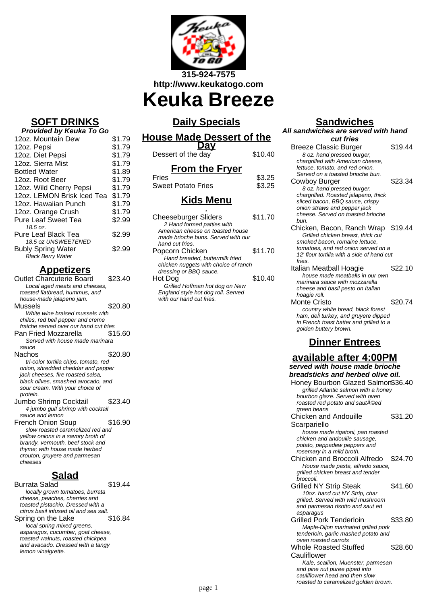

**Keuka Breeze**

## **SOFT DRINKS**

#### **Provided by Keuka To Go**

| 12oz. Mountain Dew         | \$1.79 |
|----------------------------|--------|
| 12oz. Pepsi                | \$1.79 |
| 12oz. Diet Pepsi           | \$1.79 |
| 12oz. Sierra Mist          | \$1.79 |
| <b>Bottled Water</b>       | \$1.89 |
| 12oz. Root Beer            | \$1.79 |
| 12oz. Wild Cherry Pepsi    | \$1.79 |
| 12oz. LEMON Brisk Iced Tea | \$1.79 |
| 12oz. Hawaiian Punch       | \$1.79 |
| 12oz. Orange Crush         | \$1.79 |
| <b>Pure Leaf Sweet Tea</b> | \$2.99 |
| 18.5 oz.                   |        |
| Pure Leaf Black Tea        | \$2.99 |
| 18.5 oz UNSWEETENED        |        |
| <b>Bubly Spring Water</b>  | \$2.99 |
| <b>Black Berry Water</b>   |        |

## **Appetizers**

| Outlet Charcuterie Board               | \$23.40 |
|----------------------------------------|---------|
| Local aged meats and cheeses,          |         |
| toasted flatbread, hummus, and         |         |
| house-made jalapeno jam.               |         |
| Mussels                                | \$20.80 |
| White wine braised mussels with        |         |
| chiles, red bell pepper and creme      |         |
| fraiche served over our hand cut fries |         |
| Pan Fried Mozzarella                   | \$15.60 |
| Served with house made marinara        |         |
| sauce                                  |         |
| Nachos                                 | \$20.80 |
| tri-color tortilla chips, tomato, red  |         |
| onion, shredded cheddar and pepper     |         |
| jack cheeses, fire roasted salsa,      |         |
| black olives, smashed avocado, and     |         |
| sour cream. With your choice of        |         |
|                                        |         |
| protein.                               |         |
| Jumbo Shrimp Cocktail                  | \$23.40 |
| 4 jumbo gulf shrimp with cocktail      |         |
| sauce and lemon                        |         |
| French Onion Soup                      | \$16.90 |
| slow roasted caramelized red and       |         |
| yellow onions in a savory broth of     |         |

thyme; with house made herbed crouton, gruyere and parmesan cheeses

# **Salad**

Burrata Salad \$19.44 locally grown tomatoes, burrata cheese, peaches, cherries and toasted pistachio. Dressed with a citrus basil infused oil and sea salt.<br>pring on the Lake \$16.84 Spring on the Lake local spring mixed greens, asparagus, cucumber, goat cheese, toasted walnuts, roasted chickpea and avacado. Dressed with a tangy lemon vinaigrette.

# **Daily Specials**

#### **House Made Dessert of the Day**

| $ -$               |         |
|--------------------|---------|
| Dessert of the day | \$10.40 |

### **From the Fryer**

| Fries                     | \$3.25 |
|---------------------------|--------|
| <b>Sweet Potato Fries</b> | \$3.25 |

### **Kids Menu**

| <b>Cheeseburger Sliders</b>          | \$11.70 |
|--------------------------------------|---------|
| 2 Hand formed patties with           |         |
| American cheese on toasted house     |         |
| made brioche buns. Served with our   |         |
| hand cut fries.                      |         |
| Popcorn Chicken                      | \$11.70 |
| Hand breaded, buttermilk fried       |         |
| chicken nuggets with choice of ranch |         |
| dressing or BBQ sauce.               |         |
| Hot Dog                              | \$10.40 |
| Grilled Hoffman hot dog on New       |         |
| England style hot dog roll. Served   |         |
| with our hand cut fries.             |         |
|                                      |         |

### **Sandwiches**

| All sandwiches are served with hand                                               |         |
|-----------------------------------------------------------------------------------|---------|
| cut fries                                                                         |         |
| <b>Breeze Classic Burger</b>                                                      | \$19.44 |
| 8 oz. hand pressed burger,                                                        |         |
| chargrilled with American cheese,                                                 |         |
| lettuce, tomato, and red onion.                                                   |         |
| Served on a toasted brioche bun.                                                  |         |
| Cowboy Burger                                                                     | \$23.34 |
| 8 oz. hand pressed burger,<br>chargrilled. Roasted jalapeno, thick                |         |
| sliced bacon, BBQ sauce, crispy                                                   |         |
| onion straws and pepper jack                                                      |         |
| cheese. Served on toasted brioche                                                 |         |
| bun.                                                                              |         |
| Chicken, Bacon, Ranch Wrap \$19.44                                                |         |
| Grilled chicken breast, thick cut                                                 |         |
| smoked bacon, romaine lettuce,                                                    |         |
| tomatoes, and red onion served on a<br>12' flour tortilla with a side of hand cut |         |
| fries.                                                                            |         |
| Italian Meatball Hoagie                                                           | \$22.10 |
| house made meatballs in our own                                                   |         |
| marinara sauce with mozzarella                                                    |         |
| cheese and basil pesto on Italian                                                 |         |
| hoagie roll.                                                                      |         |
| Monte Cristo                                                                      | \$20.74 |
| country white bread, black forest<br>ham, deli turkey, and gruyere dipped         |         |
| in French toast batter and grilled to a                                           |         |
| golden buttery brown.                                                             |         |
|                                                                                   |         |
| <b>Dinner Entrees</b>                                                             |         |
| available after 4:00PM                                                            |         |
| served with house made brioche                                                    |         |
| breadsticks and herbed olive oil.                                                 |         |
| Honey Bourbon Glazed Salmon\$36.40                                                |         |
| grilled Atlantic salmon with a honey                                              |         |
| bourbon glaze. Served with oven                                                   |         |
| roasted red potato and sautĩed                                                    |         |
| green beans                                                                       |         |
| Chicken and Andouille                                                             | \$31.20 |
| Scarpariello                                                                      |         |
| house made rigatoni, pan roasted                                                  |         |
| chicken and andouille sausage,<br>potato, peppadew peppers and                    |         |
| rosemary in a mild broth.                                                         |         |
| Chicken and Broccoli Alfredo                                                      | \$24.70 |
| House made pasta, alfredo sauce,                                                  |         |
| grilled chicken breast and tender                                                 |         |
| broccoli.                                                                         |         |
| <b>Grilled NY Strip Steak</b>                                                     | \$41.60 |
| 10oz. hand cut NY Strip, char                                                     |         |

grilled. Served with wild mushroom and parmesan risotto and saut ed asparagus Grilled Pork Tenderloin \$33.80 Maple-Dijon marinated grilled pork tenderloin, garlic mashed potato and

oven roasted carrots Whole Roasted Stuffed **Cauliflower** \$28.60

Kale, scallion, Muenster, parmesan and pine nut puree piped into cauliflower head and then slow roasted to caramelized golden brown.